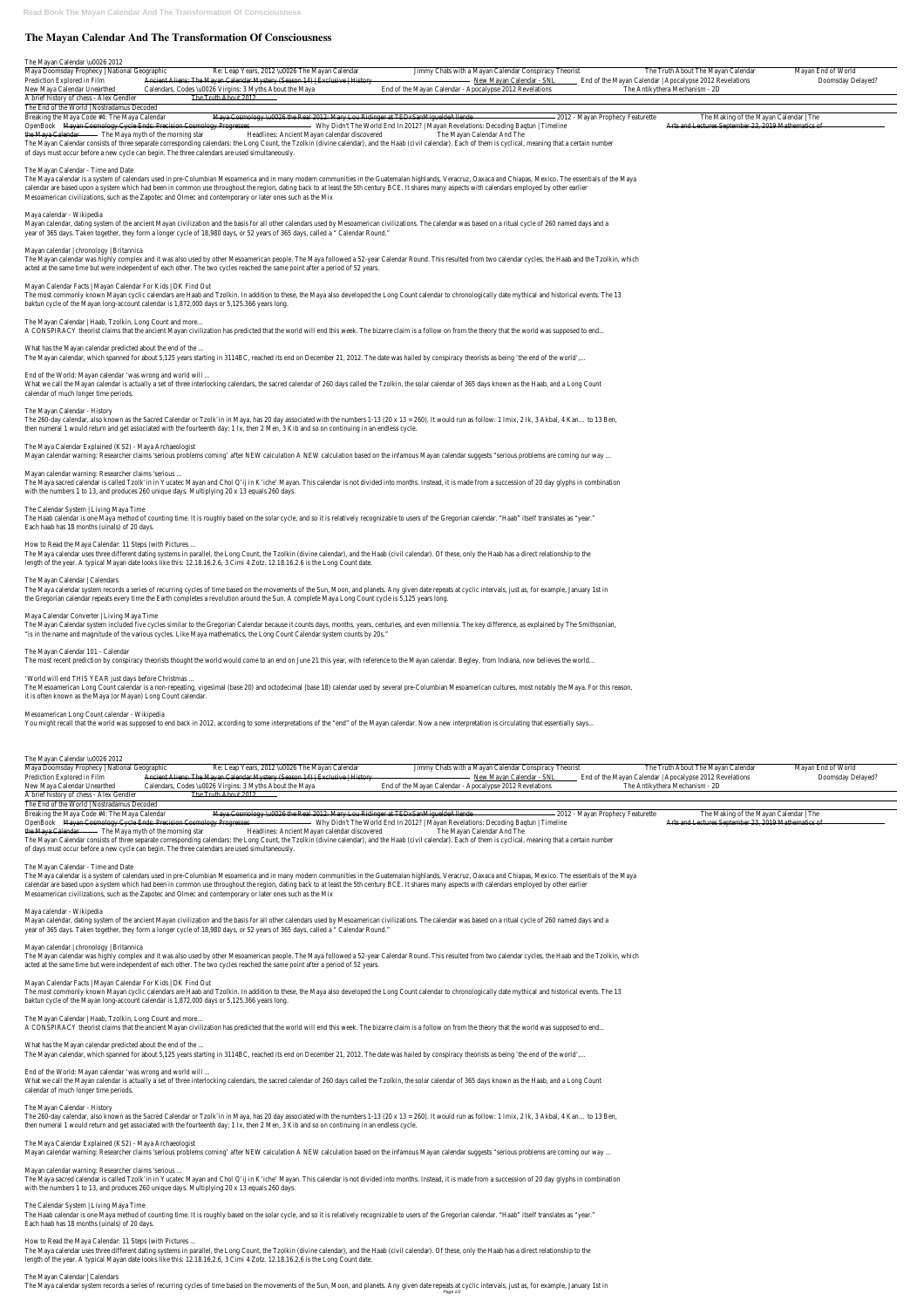Maya Doomsday Prophecy | National Geographic Re: Leap Years, 2012 \u0026 The Mayan Calendar Jimmy Chats with a Mayan Calendar Conspiracy Theorist The Truth About The Mayan Calendar Mayan End of World Prediction Explored in Film Ancient Aliens: The Mayan Calendar Mystery (Season 14) | Exclusive | History | New Mayan Calendar - SNL End of the Mayan Calendar | Apocalypse 2012 Revelations Doomsday Delayed? New Maya Calendar Unearthed Calendars, Codes \u0026 Virgins: 3 Myths About the Maya End of the Mayan Calendar - Apocalypse 2012 Revelations The Antikythera Mechanism - 2D

A brief history of chess - Alex Gendler The Truth About 2012

# **The Mayan Calendar And The Transformation Of Consciousness**

#### The Mayan Calendar \u0026 2012

#### The End of the World | Nostradamus Decoded

Breaking the Maya Code #4: The Maya Calendar Waya Cosmology \u0026 the Real 2012: Mary Lou Ridinger at TEDxSanMigueldeAllende - 2012 - Mayan Prophecy Featurette The Making of the Mayan Calendar | The OpenBook Mayan Cosmology Cycle Ends: Precision Cosmology Progresses Why Didn't The World End In 2012? | Mayan Revelations: Decoding Bagtun | Timeline Arts and Lectures September 23, 2019 Mathematics of the Maya Calendar The Maya myth of the morning star Headlines: Ancient Mayan calendar discovered The Mayan Calendar And The The Mayan Calendar consists of three separate corresponding calendars: the Long Count, the Tzolkin (divine calendar), and the Haab (civil calendar). Each of them is cyclical, meaning that a certain number of days must occur before a new cycle can begin. The three calendars are used simultaneously.

The most commonly known Mayan cyclic calendars are Haab and Tzolkin. In addition to these, the Maya also developed the Long Count calendar to chronologically date mythical and historical events. The 1 baktun cycle of the Mayan long-account calendar is 1,872,000 days or 5,125.366 years long.

#### The Mayan Calendar - Time and Date

The Maya calendar is a system of calendars used in pre-Columbian Mesoamerica and in many modern communities in the Guatemalan highlands, Veracruz, Oaxaca and Chiapas, Mexico. The essentials of the Maya calendar are based upon a system which had been in common use throughout the region, dating back to at least the 5th century BCE. It shares many aspects with calendars employed by other earlierty. Mesoamerican civilizations, such as the Zapotec and Olmec and contemporary or later ones such as the Mix

What we call the Mayan calendar is actually a set of three interlocking calendars, the sacred calendar of 260 days called the Tzolkin, the solar calendar of 365 days known as the Haab, and a Long Cour calendar of much longer time periods.

#### Maya calendar - Wikipedia

Mayan calendar, dating system of the ancient Mayan civilization and the basis for all other calendars used by Mesoamerican civilizations. The calendar was based on a ritual cycle of 260 named days and year of 365 days. Taken together, they form a longer cycle of 18,980 days, or 52 years of 365 days, called a " Calendar Round

The 260-day calendar, also known as the Sacred Calendar or Tzolk'in in Maya, has 20 day associated with the numbers 1-13 (20 x 13 = 260). It would run as follow: 1 Imix, 2 Ik, 3 Akbal, 4 Kan... to 13 Be then numeral 1 would return and get associated with the fourteenth day: 1 Ix, then 2 Men, 3 Kib and so on continuing in an endless cycle.

#### Mayan calendar | chronology | Britannica

The Mayan calendar was highly complex and it was also used by other Mesoamerican people. The Maya followed a 52-year Calendar Round. This resulted from two calendar cycles, the Haab and the Tzolkin, which acted at the same time but were independent of each other. The two cycles reached the same point after a period of 52 year

The Haab calendar is one Maya method of counting time. It is roughly based on the solar cycle, and so it is relatively recognizable to users of the Gregorian calendar. "Haab" itself translates as "year Each haab has 18 months (uinals) of 20 days.

The Maya calendar uses three different dating systems in parallel, the Long Count, the Tzolkin (divine calendar), and the Haab (civil calendar). Of these, only the Haab has a direct relationship to the length of the year. A typical Mayan date looks like this: 12.18.16.2.6, 3 Cimi 4 Zotz. 12.18.16.2.6 is the Long Count date

The Maya calendar system records a series of recurring cycles of time based on the movements of the Sun, Moon, and planets. Any given date repeats at cyclic intervals, just as, for example, January 1st in the Gregorian calendar repeats every time the Earth completes a revolution around the Sun. A complete Maya Long Count cycle is 5,125 years long

#### Mayan Calendar Facts | Mayan Calendar For Kids | DK Find Out

The Mayan Calendar | Haab, Tzolkin, Long Count and more...

A CONSPIRACY theorist claims that the ancient Mayan civilization has predicted that the world will end this week. The bizarre claim is a follow on from the theory that the world was supposed to end.

#### What has the Mayan calendar predicted about the end of the ...

The Mayan calendar, which spanned for about 5,125 years starting in 3114BC, reached its end on December 21, 2012. The date was hailed by conspiracy theorists as being 'the end of the world'

The Mesoamerican Long Count calendar is a non-repeating, vigesimal (base 20) and octodecimal (base 18) calendar used by several pre-Columbian Mesoamerican cultures, most notably the Maya. For this reaso it is often known as the Maya (or Mayan) Long Count calendar.

Maya Doomsday Prophecy | National Geographic Re: Leap Years, 2012 \u0026 The Mayan Calendar Jimmy Chats with a Mayan Calendar Conspiracy Theorist The Truth About The Mayan Calendar Mayan End of World Prediction Explored in Film Ancient Aliens: The Mayan Calendar Mystery (Season 14) | Exclusive | History | New Mayan Calendar - SNL End of the Mayan Calendar | Apocalypse 2012 Revelations Doomsday Delayed? New Maya Calendar Unearthed Calendars, Codes \u0026 Virgins: 3 Myths About the Maya End of the Mayan Calendar - Apocalypse 2012 Revelations The Antikythera Mechanism - 2D

A brief history of chess - Alex Gendler The Truth About 2012

#### End of the World: Mayan calendar 'was wrong and world will ...

#### The Mayan Calendar - History

The Mayan Calendar consists of three separate corresponding calendars: the Long Count, the Tzolkin (divine calendar), and the Haab (civil calendar). Each of them is cyclical, meaning that a certain number of days must occur before a new cycle can begin. The three calendars are used simultaneously.

#### The Maya Calendar Explained (KS2) - Maya Archaeologist

Mayan calendar warning: Researcher claims 'serious problems coming' after NEW calculation A NEW calculation based on the infamous Mayan calendar suggests "serious problems are coming our way

#### Mayan calendar warning: Researcher claims 'serious ...

The Maya sacred calendar is called Tzolk'in in Yucatec Mayan and Chol Q'ij in K'iche' Mayan. This calendar is not divided into months. Instead, it is made from a succession of 20 day glyphs in combination with the numbers 1 to 13, and produces 260 unique days. Multiplying 20 x 13 equals 260 days

#### The Calendar System | Living Maya Time

The most commonly known Mayan cyclic calendars are Haab and Tzolkin. In addition to these, the Maya also developed the Long Count calendar to chronologically date mythical and historical events. The 1 baktun cycle of the Mayan long-account calendar is 1,872,000 days or 5,125.366 years long.

The Mayan Calendar | Haab, Tzolkin, Long Count and more...

A CONSPIRACY theorist claims that the ancient Mayan civilization has predicted that the world will end this week. The bizarre claim is a follow on from the theory that the world was supposed to end.

What has the Mayan calendar predicted about the end of the ...

The Mayan calendar, which spanned for about 5,125 years starting in 3114BC, reached its end on December 21, 2012. The date was hailed by conspiracy theorists as being 'the end of the world'

# How to Read the Maya Calendar: 11 Steps (with Pictures ...

What we call the Mayan calendar is actually a set of three interlocking calendars, the sacred calendar of 260 days called the Tzolkin, the solar calendar of 365 days known as the Haab, and a Long Cour calendar of much longer time periods.

#### The Mayan Calendar | Calendars

The Maya sacred calendar is called Tzolk'in in Yucatec Mayan and Chol Q'ij in K'iche' Mayan. This calendar is not divided into months. Instead, it is made from a succession of 20 day glyphs in combination with the numbers 1 to 13, and produces 260 unique days. Multiplying 20 x 13 equals 260 days.

# The Calendar System | Living Maya Time

#### Maya Calendar Converter | Living Maya Time

The Mayan Calendar system included five cycles similar to the Gregorian Calendar because it counts days, months, years, centuries, and even millennia. The key difference, as explained by The Smithsonia "is in the name and magnitude of the various cycles. Like Maya mathematics, the Long Count Calendar system counts by 20s.

The Haab calendar is one Maya method of counting time. It is roughly based on the solar cycle, and so it is relatively recognizable to users of the Gregorian calendar. "Haab" itself translates as "year Each haab has 18 months (uinals) of 20 days.

The Maya calendar uses three different dating systems in parallel, the Long Count, the Tzolkin (divine calendar), and the Haab (civil calendar). Of these, only the Haab has a direct relationship to the length of the year. A typical Mayan date looks like this: 12.18.16.2.6, 3 Cimi 4 Zotz. 12.18.16.2.6 is the Long Count date

#### The Mayan Calendar 101 - Calendar

The most recent prediction by conspiracy theorists thought the world would come to an end on June 21 this year, with reference to the Mayan calendar. Begley, from Indiana, now believes the world.

#### 'World will end THIS YEAR just days before Christmas ...

#### Mesoamerican Long Count calendar - Wikipedia

You might recall that the world was supposed to end back in 2012, according to some interpretations of the "end" of the Mayan calendar. Now a new interpretation is circulating that essentially says.

#### The Mayan Calendar \u0026 2012

#### The End of the World | Nostradamus Decoded

Breaking the Maya Code #4: The Maya Calendar Maya Cosmology \u0026 the Real 2012: Mary Lou Ridinger at TEDxSanMigueldeAllende - 2012 - Mayan Prophecy Featurette The Making of the Mayan Calendar | The OpenBook Mayan Cosmology Cycle Ends: Precision Cosmology Progresses Why Didn't The World End In 2012? | Mayan Revelations: Decoding Baqtun | Timeline Arts and Lectures September 23, 2019 Mathematics of the Maya Calendar The Maya myth of the morning star Headlines: Ancient Mayan calendar discovered The Mayan Calendar And The

# The Mayan Calendar - Time and Date

The Maya calendar is a system of calendars used in pre-Columbian Mesoamerica and in many modern communities in the Guatemalan highlands, Veracruz, Oaxaca and Chiapas, Mexico. The essentials of the Maya calendar are based upon a system which had been in common use throughout the region, dating back to at least the 5th century BCE. It shares many aspects with calendars employed by other earlierty. Mesoamerican civilizations, such as the Zapotec and Olmec and contemporary or later ones such as the Mix

# Maya calendar - Wikipedia

Mayan calendar, dating system of the ancient Mayan civilization and the basis for all other calendars used by Mesoamerican civilizations. The calendar was based on a ritual cycle of 260 named days and year of 365 days. Taken together, they form a longer cycle of 18,980 days, or 52 years of 365 days, called a " Calendar Round

# Mayan calendar | chronology | Britannica

The Mayan calendar was highly complex and it was also used by other Mesoamerican people. The Maya followed a 52-year Calendar Round. This resulted from two calendar cycles, the Haab and the Tzolkin, whic acted at the same time but were independent of each other. The two cycles reached the same point after a period of 52 years.

#### Mayan Calendar Facts | Mayan Calendar For Kids | DK Find Out

End of the World: Mayan calendar 'was wrong and world will ...

#### The Mayan Calendar - History

The 260-day calendar, also known as the Sacred Calendar or Tzolk'in in Maya, has 20 day associated with the numbers 1-13 (20 x 13 = 260). It would run as follow: 1 Imix, 2 Ik, 3 Akbal, 4 Kan... to 13 Be then numeral 1 would return and get associated with the fourteenth day: 1 lx, then 2 Men, 3 Kib and so on continuing in an endless cycle

The Maya Calendar Explained (KS2) - Maya Archaeologist

Mayan calendar warning: Researcher claims 'serious problems coming' after NEW calculation A NEW calculation based on the infamous Mayan calendar suggests "serious problems are coming our way

Mayan calendar warning: Researcher claims 'serious ...

How to Read the Maya Calendar: 11 Steps (with Pictures ...

#### The Mayan Calendar | Calendars

The Maya calendar system records a series of recurring cycles of time based on the movements of the Sun, Moon, and planets. Any given date repeats at cyclic intervals, just as, for example, January 1st